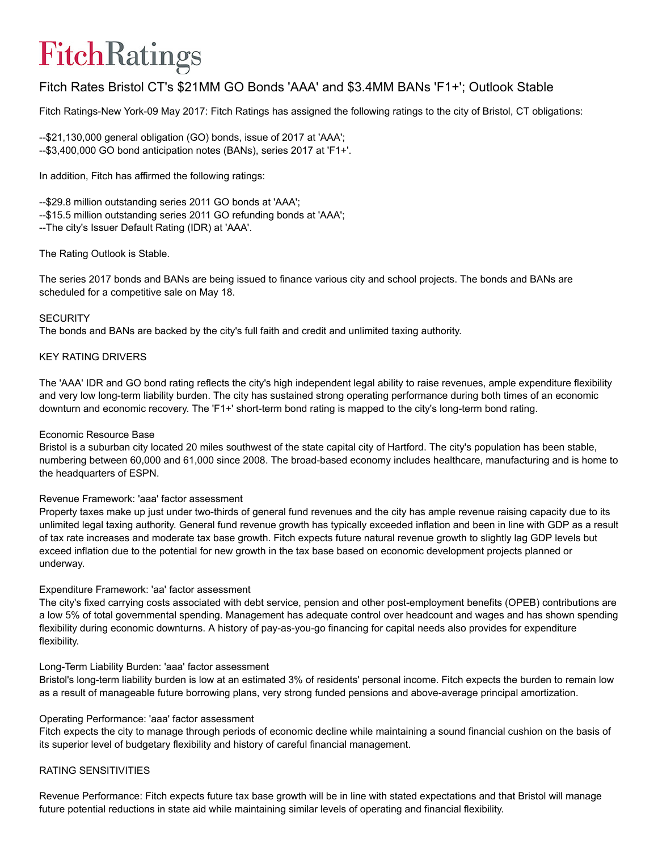# FitchRatings

# Fitch Rates Bristol CT's \$21MM GO Bonds 'AAA' and \$3.4MM BANs 'F1+'; Outlook Stable

Fitch Ratings-New York-09 May 2017: Fitch Ratings has assigned the following ratings to the city of Bristol, CT obligations:

```
--$21,130,000 general obligation (GO) bonds, issue of 2017 at 'AAA';
--$3,400,000 GO bond anticipation notes (BANs), series 2017 at 'F1+'.
```
In addition, Fitch has affirmed the following ratings:

-- \$29.8 million outstanding series 2011 GO bonds at 'AAA';

--\$15.5 million outstanding series 2011 GO refunding bonds at 'AAA';

The city's Issuer Default Rating (IDR) at 'AAA'.

# The Rating Outlook is Stable.

The series 2017 bonds and BANs are being issued to finance various city and school projects. The bonds and BANs are scheduled for a competitive sale on May 18.

### **SECURITY**

The bonds and BANs are backed by the city's full faith and credit and unlimited taxing authority.

### KEY RATING DRIVERS

The 'AAA' IDR and GO bond rating reflects the city's high independent legal ability to raise revenues, ample expenditure flexibility and very low long-term liability burden. The city has sustained strong operating performance during both times of an economic downturn and economic recovery. The 'F1+' short-term bond rating is mapped to the city's long-term bond rating.

# Economic Resource Base

Bristol is a suburban city located 20 miles southwest of the state capital city of Hartford. The city's population has been stable, numbering between 60,000 and 61,000 since 2008. The broad-based economy includes healthcare, manufacturing and is home to the headquarters of ESPN.

# Revenue Framework: 'aaa' factor assessment

Property taxes make up just under two-thirds of general fund revenues and the city has ample revenue raising capacity due to its unlimited legal taxing authority. General fund revenue growth has typically exceeded inflation and been in line with GDP as a result of tax rate increases and moderate tax base growth. Fitch expects future natural revenue growth to slightly lag GDP levels but exceed inflation due to the potential for new growth in the tax base based on economic development projects planned or underway.

#### Expenditure Framework: 'aa' factor assessment

The city's fixed carrying costs associated with debt service, pension and other post-employment benefits (OPEB) contributions are a low 5% of total governmental spending. Management has adequate control over headcount and wages and has shown spending flexibility during economic downturns. A history of pay-as-you-go financing for capital needs also provides for expenditure flexibility.

# Long-Term Liability Burden: 'aaa' factor assessment

Bristol's long-term liability burden is low at an estimated 3% of residents' personal income. Fitch expects the burden to remain low as a result of manageable future borrowing plans, very strong funded pensions and above-average principal amortization.

#### Operating Performance: 'aaa' factor assessment

Fitch expects the city to manage through periods of economic decline while maintaining a sound financial cushion on the basis of its superior level of budgetary flexibility and history of careful financial management.

# RATING SENSITIVITIES

Revenue Performance: Fitch expects future tax base growth will be in line with stated expectations and that Bristol will manage future potential reductions in state aid while maintaining similar levels of operating and financial flexibility.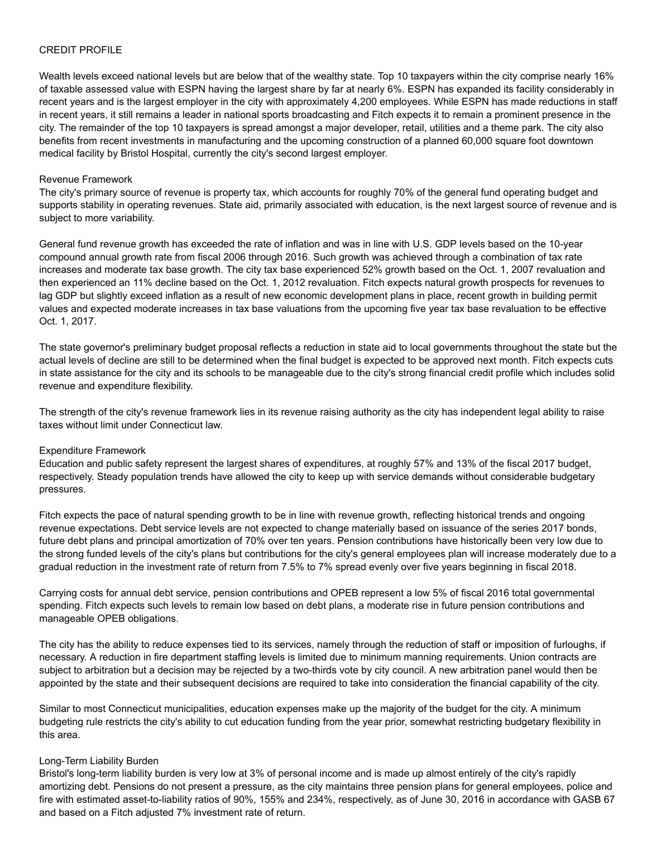# CREDIT PROFILE

Wealth levels exceed national levels but are below that of the wealthy state. Top 10 taxpayers within the city comprise nearly 16% of taxable assessed value with ESPN having the largest share by far at nearly 6%. ESPN has expanded its facility considerably in recent years and is the largest employer in the city with approximately 4,200 employees. While ESPN has made reductions in staff in recent years, it still remains a leader in national sports broadcasting and Fitch expects it to remain a prominent presence in the city. The remainder of the top 10 taxpayers is spread amongst a major developer, retail, utilities and a theme park. The city also benefits from recent investments in manufacturing and the upcoming construction of a planned 60,000 square foot downtown medical facility by Bristol Hospital, currently the city's second largest employer.

#### Revenue Framework

The city's primary source of revenue is property tax, which accounts for roughly 70% of the general fund operating budget and supports stability in operating revenues. State aid, primarily associated with education, is the next largest source of revenue and is subject to more variability.

General fund revenue growth has exceeded the rate of inflation and was in line with U.S. GDP levels based on the 10-year compound annual growth rate from fiscal 2006 through 2016. Such growth was achieved through a combination of tax rate increases and moderate tax base growth. The city tax base experienced 52% growth based on the Oct. 1, 2007 revaluation and then experienced an 11% decline based on the Oct. 1, 2012 revaluation. Fitch expects natural growth prospects for revenues to lag GDP but slightly exceed inflation as a result of new economic development plans in place, recent growth in building permit values and expected moderate increases in tax base valuations from the upcoming five year tax base revaluation to be effective Oct. 1, 2017.

The state governor's preliminary budget proposal reflects a reduction in state aid to local governments throughout the state but the actual levels of decline are still to be determined when the final budget is expected to be approved next month. Fitch expects cuts in state assistance for the city and its schools to be manageable due to the city's strong financial credit profile which includes solid revenue and expenditure flexibility.

The strength of the city's revenue framework lies in its revenue raising authority as the city has independent legal ability to raise taxes without limit under Connecticut law.

#### Expenditure Framework

Education and public safety represent the largest shares of expenditures, at roughly 57% and 13% of the fiscal 2017 budget, respectively. Steady population trends have allowed the city to keep up with service demands without considerable budgetary pressures.

Fitch expects the pace of natural spending growth to be in line with revenue growth, reflecting historical trends and ongoing revenue expectations. Debt service levels are not expected to change materially based on issuance of the series 2017 bonds, future debt plans and principal amortization of 70% over ten years. Pension contributions have historically been very low due to the strong funded levels of the city's plans but contributions for the city's general employees plan will increase moderately due to a gradual reduction in the investment rate of return from 7.5% to 7% spread evenly over five years beginning in fiscal 2018.

Carrying costs for annual debt service, pension contributions and OPEB represent a low 5% of fiscal 2016 total governmental spending. Fitch expects such levels to remain low based on debt plans, a moderate rise in future pension contributions and manageable OPEB obligations.

The city has the ability to reduce expenses tied to its services, namely through the reduction of staff or imposition of furloughs, if necessary. A reduction in fire department staffing levels is limited due to minimum manning requirements. Union contracts are subject to arbitration but a decision may be rejected by a two-thirds vote by city council. A new arbitration panel would then be appointed by the state and their subsequent decisions are required to take into consideration the financial capability of the city.

Similar to most Connecticut municipalities, education expenses make up the majority of the budget for the city. A minimum budgeting rule restricts the city's ability to cut education funding from the year prior, somewhat restricting budgetary flexibility in this area.

#### Long-Term Liability Burden

Bristol's long-term liability burden is very low at 3% of personal income and is made up almost entirely of the city's rapidly amortizing debt. Pensions do not present a pressure, as the city maintains three pension plans for general employees, police and fire with estimated asset-to-liability ratios of 90%, 155% and 234%, respectively, as of June 30, 2016 in accordance with GASB 67 and based on a Fitch adjusted 7% investment rate of return.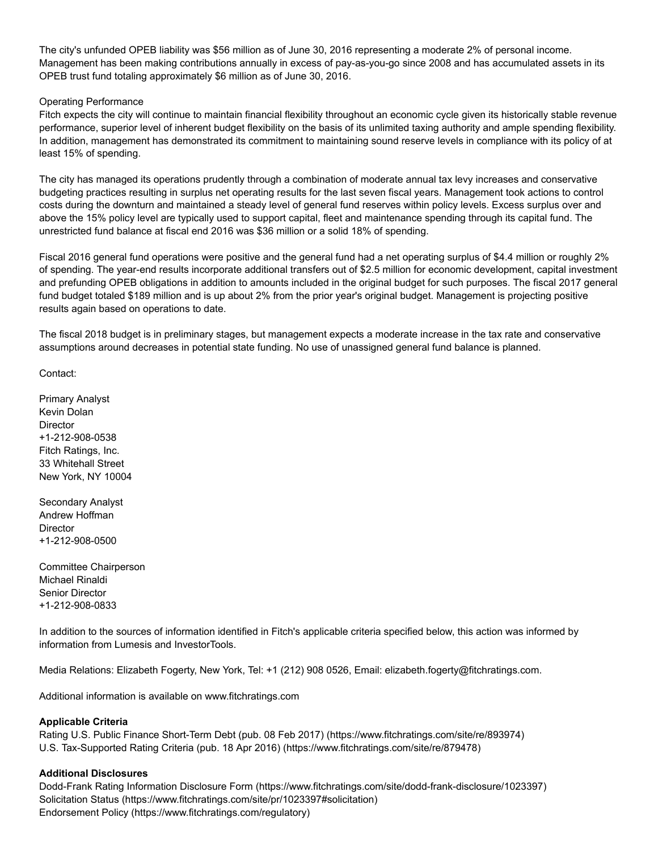The city's unfunded OPEB liability was \$56 million as of June 30, 2016 representing a moderate 2% of personal income. Management has been making contributions annually in excess of pay-as-you-go since 2008 and has accumulated assets in its OPEB trust fund totaling approximately \$6 million as of June 30, 2016.

# Operating Performance

Fitch expects the city will continue to maintain financial flexibility throughout an economic cycle given its historically stable revenue performance, superior level of inherent budget flexibility on the basis of its unlimited taxing authority and ample spending flexibility. In addition, management has demonstrated its commitment to maintaining sound reserve levels in compliance with its policy of at least 15% of spending.

The city has managed its operations prudently through a combination of moderate annual tax levy increases and conservative budgeting practices resulting in surplus net operating results for the last seven fiscal years. Management took actions to control costs during the downturn and maintained a steady level of general fund reserves within policy levels. Excess surplus over and above the 15% policy level are typically used to support capital, fleet and maintenance spending through its capital fund. The unrestricted fund balance at fiscal end 2016 was \$36 million or a solid 18% of spending.

Fiscal 2016 general fund operations were positive and the general fund had a net operating surplus of \$4.4 million or roughly 2% of spending. The yearend results incorporate additional transfers out of \$2.5 million for economic development, capital investment and prefunding OPEB obligations in addition to amounts included in the original budget for such purposes. The fiscal 2017 general fund budget totaled \$189 million and is up about 2% from the prior year's original budget. Management is projecting positive results again based on operations to date.

The fiscal 2018 budget is in preliminary stages, but management expects a moderate increase in the tax rate and conservative assumptions around decreases in potential state funding. No use of unassigned general fund balance is planned.

Contact:

Primary Analyst Kevin Dolan **Director** +1-212-908-0538 Fitch Ratings, Inc. 33 Whitehall Street New York, NY 10004

Secondary Analyst Andrew Hoffman **Director** +1-212-908-0500

Committee Chairperson Michael Rinaldi Senior Director +1-212-908-0833

In addition to the sources of information identified in Fitch's applicable criteria specified below, this action was informed by information from Lumesis and InvestorTools.

Media Relations: Elizabeth Fogerty, New York, Tel: +1 (212) 908 0526, Email: elizabeth.fogerty@fitchratings.com.

Additional information is available on www.fitchratings.com

#### Applicable Criteria

Rating U.S. Public Finance Short-Term Debt (pub. 08 Feb 2017) [\(https://www.fitchratings.com/site/re/893974\)](https://www.fitchratings.com/site/re/893974) U.S. Tax-Supported Rating Criteria (pub. 18 Apr 2016) [\(https://www.fitchratings.com/site/re/879478\)](https://www.fitchratings.com/site/re/879478)

#### Additional Disclosures

Dodd-Frank Rating Information Disclosure Form (https://www.fitchratings.com/site/dodd-frank-disclosure/1023397) Solicitation Status [\(https://www.fitchratings.com/site/pr/1023397#solicitation\)](#page-4-0) Endorsement Policy [\(https://www.fitchratings.com/regulatory\)](https://www.fitchratings.com/regulatory)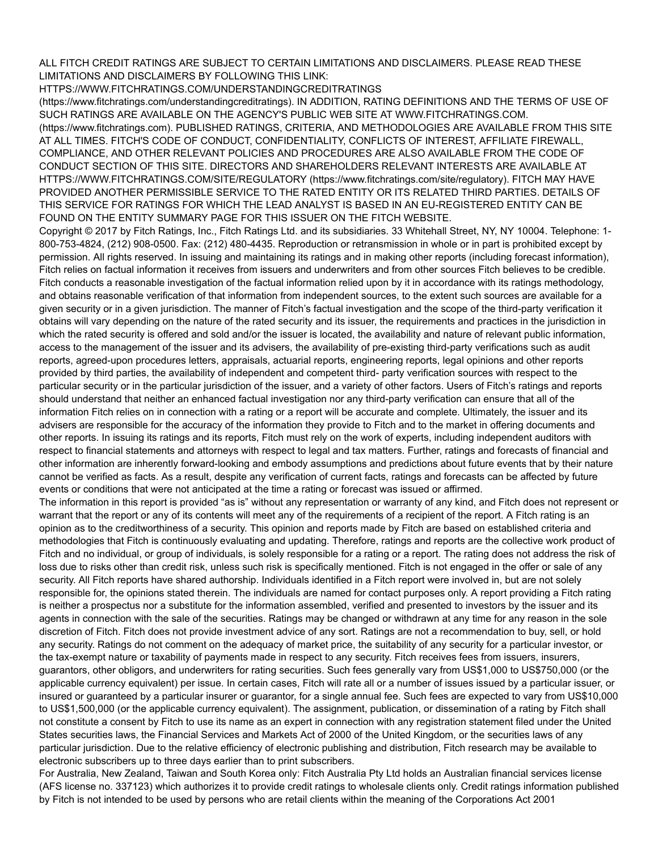ALL FITCH CREDIT RATINGS ARE SUBJECT TO CERTAIN LIMITATIONS AND DISCLAIMERS. PLEASE READ THESE LIMITATIONS AND DISCLAIMERS BY FOLLOWING THIS LINK:

[HTTPS://WWW.FITCHRATINGS.COM/UNDERSTANDINGCREDITRATINGS](https://www.fitchratings.com/understandingcreditratings)

(https://www.fitchratings.com/understandingcreditratings). IN ADDITION, RATING DEFINITIONS AND THE TERMS OF USE OF SUCH RATINGS ARE AVAILABLE ON THE AGENCY'S PUBLIC WEB SITE AT WWW.FITCHRATINGS.COM. [\(https://www.fitchratings.com\).](https://www.fitchratings.com/) PUBLISHED RATINGS, CRITERIA, AND METHODOLOGIES ARE AVAILABLE FROM THIS SITE AT ALL TIMES. FITCH'S CODE OF CONDUCT, CONFIDENTIALITY, CONFLICTS OF INTEREST, AFFILIATE FIREWALL, COMPLIANCE, AND OTHER RELEVANT POLICIES AND PROCEDURES ARE ALSO AVAILABLE FROM THE CODE OF CONDUCT SECTION OF THIS SITE. DIRECTORS AND SHAREHOLDERS RELEVANT INTERESTS ARE AVAILABLE AT [HTTPS://WWW.FITCHRATINGS.COM/SITE/REGULATORY](https://www.fitchratings.com/site/regulatory) (https://www.fitchratings.com/site/regulatory). FITCH MAY HAVE PROVIDED ANOTHER PERMISSIBLE SERVICE TO THE RATED ENTITY OR ITS RELATED THIRD PARTIES. DETAILS OF THIS SERVICE FOR RATINGS FOR WHICH THE LEAD ANALYST IS BASED IN AN EUREGISTERED ENTITY CAN BE FOUND ON THE ENTITY SUMMARY PAGE FOR THIS ISSUER ON THE FITCH WEBSITE.

Copyright © 2017 by Fitch Ratings, Inc., Fitch Ratings Ltd. and its subsidiaries. 33 Whitehall Street, NY, NY 10004. Telephone: 1 800-753-4824, (212) 908-0500. Fax: (212) 480-4435. Reproduction or retransmission in whole or in part is prohibited except by permission. All rights reserved. In issuing and maintaining its ratings and in making other reports (including forecast information), Fitch relies on factual information it receives from issuers and underwriters and from other sources Fitch believes to be credible. Fitch conducts a reasonable investigation of the factual information relied upon by it in accordance with its ratings methodology, and obtains reasonable verification of that information from independent sources, to the extent such sources are available for a given security or in a given jurisdiction. The manner of Fitch's factual investigation and the scope of the third-party verification it obtains will vary depending on the nature of the rated security and its issuer, the requirements and practices in the jurisdiction in which the rated security is offered and sold and/or the issuer is located, the availability and nature of relevant public information, access to the management of the issuer and its advisers, the availability of pre-existing third-party verifications such as audit reports, agreed-upon procedures letters, appraisals, actuarial reports, engineering reports, legal opinions and other reports provided by third parties, the availability of independent and competent third- party verification sources with respect to the particular security or in the particular jurisdiction of the issuer, and a variety of other factors. Users of Fitch's ratings and reports should understand that neither an enhanced factual investigation nor any third-party verification can ensure that all of the information Fitch relies on in connection with a rating or a report will be accurate and complete. Ultimately, the issuer and its advisers are responsible for the accuracy of the information they provide to Fitch and to the market in offering documents and other reports. In issuing its ratings and its reports, Fitch must rely on the work of experts, including independent auditors with respect to financial statements and attorneys with respect to legal and tax matters. Further, ratings and forecasts of financial and other information are inherently forward-looking and embody assumptions and predictions about future events that by their nature cannot be verified as facts. As a result, despite any verification of current facts, ratings and forecasts can be affected by future events or conditions that were not anticipated at the time a rating or forecast was issued or affirmed.

The information in this report is provided "as is" without any representation or warranty of any kind, and Fitch does not represent or warrant that the report or any of its contents will meet any of the requirements of a recipient of the report. A Fitch rating is an opinion as to the creditworthiness of a security. This opinion and reports made by Fitch are based on established criteria and methodologies that Fitch is continuously evaluating and updating. Therefore, ratings and reports are the collective work product of Fitch and no individual, or group of individuals, is solely responsible for a rating or a report. The rating does not address the risk of loss due to risks other than credit risk, unless such risk is specifically mentioned. Fitch is not engaged in the offer or sale of any security. All Fitch reports have shared authorship. Individuals identified in a Fitch report were involved in, but are not solely responsible for, the opinions stated therein. The individuals are named for contact purposes only. A report providing a Fitch rating is neither a prospectus nor a substitute for the information assembled, verified and presented to investors by the issuer and its agents in connection with the sale of the securities. Ratings may be changed or withdrawn at any time for any reason in the sole discretion of Fitch. Fitch does not provide investment advice of any sort. Ratings are not a recommendation to buy, sell, or hold any security. Ratings do not comment on the adequacy of market price, the suitability of any security for a particular investor, or the tax-exempt nature or taxability of payments made in respect to any security. Fitch receives fees from issuers, insurers, guarantors, other obligors, and underwriters for rating securities. Such fees generally vary from US\$1,000 to US\$750,000 (or the applicable currency equivalent) per issue. In certain cases, Fitch will rate all or a number of issues issued by a particular issuer, or insured or guaranteed by a particular insurer or guarantor, for a single annual fee. Such fees are expected to vary from US\$10,000 to US\$1,500,000 (or the applicable currency equivalent). The assignment, publication, or dissemination of a rating by Fitch shall not constitute a consent by Fitch to use its name as an expert in connection with any registration statement filed under the United States securities laws, the Financial Services and Markets Act of 2000 of the United Kingdom, or the securities laws of any particular jurisdiction. Due to the relative efficiency of electronic publishing and distribution, Fitch research may be available to electronic subscribers up to three days earlier than to print subscribers.

For Australia, New Zealand, Taiwan and South Korea only: Fitch Australia Pty Ltd holds an Australian financial services license (AFS license no. 337123) which authorizes it to provide credit ratings to wholesale clients only. Credit ratings information published by Fitch is not intended to be used by persons who are retail clients within the meaning of the Corporations Act 2001